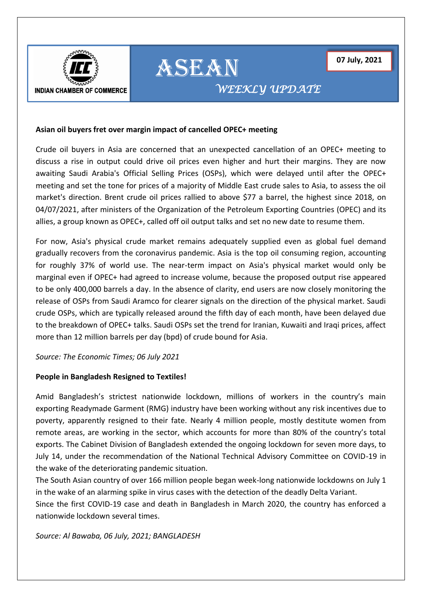



# *WEEKLY UPDATE*

## **Asian oil buyers fret over margin impact of cancelled OPEC+ meeting**

Crude oil buyers in Asia are concerned that an unexpected cancellation of an OPEC+ meeting to discuss a rise in output could drive oil prices even higher and hurt their margins. They are now awaiting Saudi Arabia's Official Selling Prices (OSPs), which were delayed until after the OPEC+ meeting and set the tone for prices of a majority of Middle East crude sales to Asia, to assess the oil market's direction. Brent crude oil prices rallied to above \$77 a barrel, the highest since 2018, on 04/07/2021, after ministers of the Organization of the Petroleum Exporting Countries (OPEC) and its allies, a group known as OPEC+, called off oil output talks and set no new date to resume them.

ASEAN

For now, Asia's physical crude market remains adequately supplied even as global fuel demand gradually recovers from the coronavirus pandemic. Asia is the top oil consuming region, accounting for roughly 37% of world use. The near-term impact on Asia's physical market would only be marginal even if OPEC+ had agreed to increase volume, because the proposed output rise appeared to be only 400,000 barrels a day. In the absence of clarity, end users are now closely monitoring the release of OSPs from Saudi Aramco for clearer signals on the direction of the physical market. Saudi crude OSPs, which are typically released around the fifth day of each month, have been delayed due to the breakdown of OPEC+ talks. Saudi OSPs set the trend for Iranian, Kuwaiti and Iraqi prices, affect more than 12 million barrels per day (bpd) of crude bound for Asia.

*Source: The Economic Times; 06 July 2021*

## **People in Bangladesh Resigned to Textiles!**

Amid Bangladesh's strictest nationwide lockdown, millions of workers in the country's main exporting Readymade Garment (RMG) industry have been working without any risk incentives due to poverty, apparently resigned to their fate. Nearly 4 million people, mostly destitute women from remote areas, are working in the sector, which accounts for more than 80% of the country's total exports. The Cabinet Division of Bangladesh extended the ongoing lockdown for seven more days, to July 14, under the recommendation of the National Technical Advisory Committee on COVID-19 in the wake of the deteriorating pandemic situation.

The South Asian country of over 166 million people began week-long nationwide lockdowns on July 1 in the wake of an alarming spike in virus cases with the detection of the deadly Delta Variant.

Since the first COVID-19 case and death in Bangladesh in March 2020, the country has enforced a nationwide lockdown several times.

*Source: Al Bawaba, 06 July, 2021; BANGLADESH*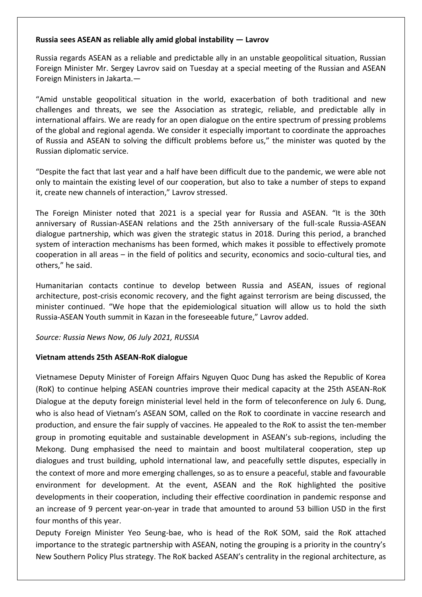# **[Russia sees ASEAN as reliable ally amid global instability](https://therussophile.org/russia-sees-asean-as-reliable-ally-amid-global-instability-lavrov.html/) — Lavrov**

Russia regards ASEAN as a reliable and predictable ally in an unstable geopolitical situation, Russian Foreign Minister Mr. Sergey Lavrov said on Tuesday at a special meeting of the Russian and ASEAN Foreign Ministers in Jakarta.—

"Amid unstable geopolitical situation in the world, exacerbation of both traditional and new challenges and threats, we see the Association as strategic, reliable, and predictable ally in international affairs. We are ready for an open dialogue on the entire spectrum of pressing problems of the global and regional agenda. We consider it especially important to coordinate the approaches of Russia and ASEAN to solving the difficult problems before us," the minister was quoted by the Russian diplomatic service.

"Despite the fact that last year and a half have been difficult due to the pandemic, we were able not only to maintain the existing level of our cooperation, but also to take a number of steps to expand it, create new channels of interaction," Lavrov stressed.

The Foreign Minister noted that 2021 is a special year for Russia and ASEAN. "It is the 30th anniversary of Russian-ASEAN relations and the 25th anniversary of the full-scale Russia-ASEAN dialogue partnership, which was given the strategic status in 2018. During this period, a branched system of interaction mechanisms has been formed, which makes it possible to effectively promote cooperation in all areas – in the field of politics and security, economics and socio-cultural ties, and others," he said.

Humanitarian contacts continue to develop between Russia and ASEAN, issues of regional architecture, post-crisis economic recovery, and the fight against terrorism are being discussed, the minister continued. "We hope that the epidemiological situation will allow us to hold the sixth Russia-ASEAN Youth summit in Kazan in the foreseeable future," Lavrov added.

## *Source: [Russia News Now,](https://therussophile.org/) 06 July 2021, RUSSIA*

# **Vietnam attends 25th ASEAN-RoK dialogue**

Vietnamese Deputy Minister of Foreign Affairs Nguyen Quoc Dung has asked the Republic of Korea (RoK) to continue helping ASEAN countries improve their medical capacity at the 25th ASEAN-RoK Dialogue at the deputy foreign ministerial level held in the form of teleconference on July 6. Dung, who is also head of Vietnam's ASEAN SOM, called on the RoK to coordinate in vaccine research and production, and ensure the fair supply of vaccines. He appealed to the RoK to assist the ten-member group in promoting equitable and sustainable development in ASEAN's sub-regions, including the Mekong. Dung emphasised the need to maintain and boost multilateral cooperation, step up dialogues and trust building, uphold international law, and peacefully settle disputes, especially in the context of more and more emerging challenges, so as to ensure a peaceful, stable and favourable environment for development. At the event, ASEAN and the RoK highlighted the positive developments in their cooperation, including their effective coordination in pandemic response and an increase of 9 percent year-on-year in trade that amounted to around 53 billion USD in the first four months of this year.

Deputy Foreign Minister Yeo Seung-bae, who is head of the RoK SOM, said the RoK attached importance to the strategic partnership with ASEAN, noting the grouping is a priority in the country's New Southern Policy Plus strategy. The RoK backed ASEAN's centrality in the regional architecture, as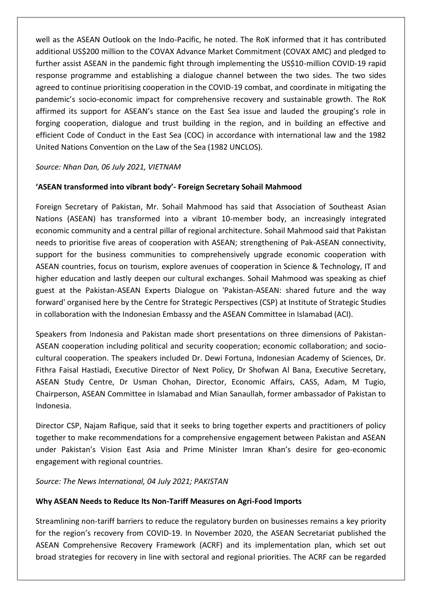well as the ASEAN Outlook on the Indo-Pacific, he noted. The RoK informed that it has contributed additional US\$200 million to the COVAX Advance Market Commitment (COVAX AMC) and pledged to further assist ASEAN in the pandemic fight through implementing the US\$10-million COVID-19 rapid response programme and establishing a dialogue channel between the two sides. The two sides agreed to continue prioritising cooperation in the COVID-19 combat, and coordinate in mitigating the pandemic's socio-economic impact for comprehensive recovery and sustainable growth. The RoK affirmed its support for ASEAN's stance on the East Sea issue and lauded the grouping's role in forging cooperation, dialogue and trust building in the region, and in building an effective and efficient Code of Conduct in the East Sea (COC) in accordance with international law and the 1982 United Nations Convention on the Law of the Sea (1982 UNCLOS).

# *Source: Nhan Dan, 06 July 2021, VIETNAM*

# **'ASEAN transformed into vibrant body'- Foreign Secretary Sohail Mahmood**

Foreign Secretary of Pakistan, Mr. Sohail Mahmood has said that Association of Southeast Asian Nations (ASEAN) has transformed into a vibrant 10-member body, an increasingly integrated economic community and a central pillar of regional architecture. Sohail Mahmood said that Pakistan needs to prioritise five areas of cooperation with ASEAN; strengthening of Pak-ASEAN connectivity, support for the business communities to comprehensively upgrade economic cooperation with ASEAN countries, focus on tourism, explore avenues of cooperation in Science & Technology, IT and higher education and lastly deepen our cultural exchanges. Sohail Mahmood was speaking as chief guest at the Pakistan-ASEAN Experts Dialogue on 'Pakistan-ASEAN: shared future and the way forward' organised here by the Centre for Strategic Perspectives (CSP) at Institute of Strategic Studies in collaboration with the Indonesian Embassy and the ASEAN Committee in Islamabad (ACI).

Speakers from Indonesia and Pakistan made short presentations on three dimensions of Pakistan-ASEAN cooperation including political and security cooperation; economic collaboration; and sociocultural cooperation. The speakers included Dr. Dewi Fortuna, Indonesian Academy of Sciences, Dr. Fithra Faisal Hastiadi, Executive Director of Next Policy, Dr Shofwan Al Bana, Executive Secretary, ASEAN Study Centre, Dr Usman Chohan, Director, Economic Affairs, CASS, Adam, M Tugio, Chairperson, ASEAN Committee in Islamabad and Mian Sanaullah, former ambassador of Pakistan to Indonesia.

Director CSP, Najam Rafique, said that it seeks to bring together experts and practitioners of policy together to make recommendations for a comprehensive engagement between Pakistan and ASEAN under Pakistan's Vision East Asia and Prime Minister Imran Khan's desire for geo-economic engagement with regional countries.

## *Source: The News International, 04 July 2021; PAKISTAN*

## **Why ASEAN Needs to Reduce Its Non-Tariff Measures on Agri-Food Imports**

Streamlining non-tariff barriers to reduce the regulatory burden on businesses remains a key priority for the region's recovery from COVID-19. In November 2020, the ASEAN Secretariat published the ASEAN Comprehensive Recovery Framework (ACRF) and its implementation plan, which set out broad strategies for recovery in line with sectoral and regional priorities. The ACRF can be regarded